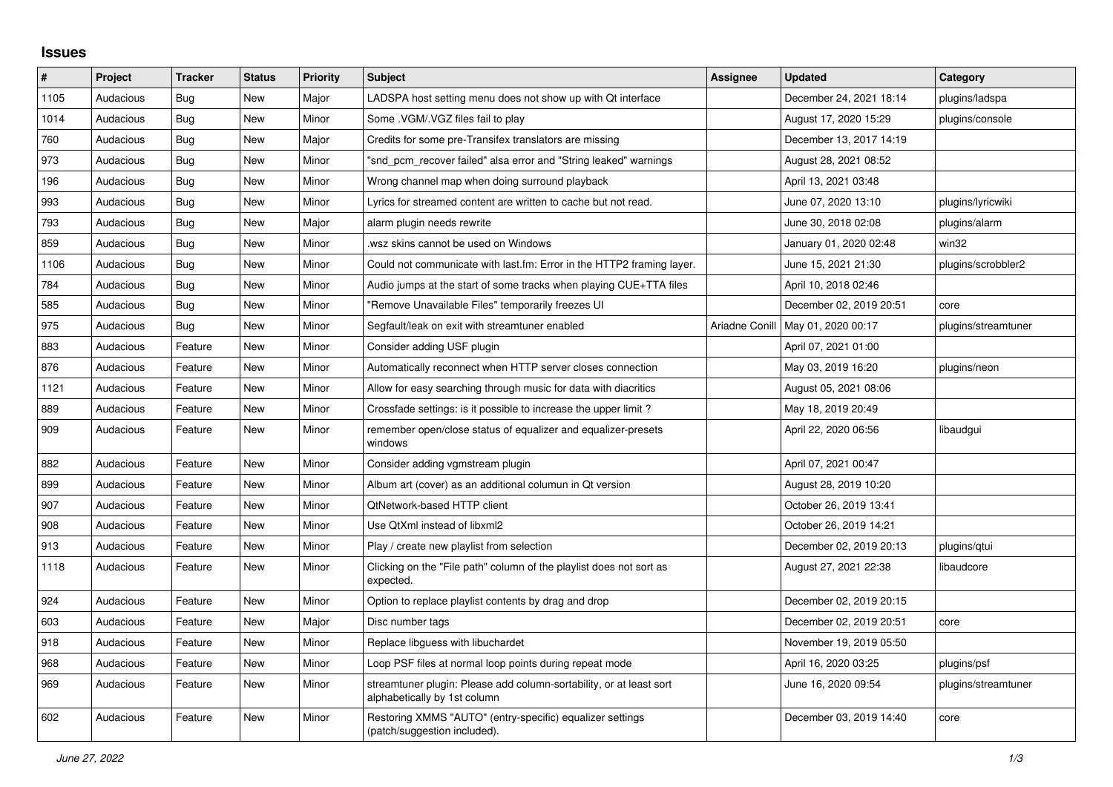## **Issues**

| #    | Project   | <b>Tracker</b> | <b>Status</b> | <b>Priority</b> | <b>Subject</b>                                                                                      | Assignee       | <b>Updated</b>          | Category            |
|------|-----------|----------------|---------------|-----------------|-----------------------------------------------------------------------------------------------------|----------------|-------------------------|---------------------|
| 1105 | Audacious | Bug            | New           | Major           | LADSPA host setting menu does not show up with Qt interface                                         |                | December 24, 2021 18:14 | plugins/ladspa      |
| 1014 | Audacious | Bug            | New           | Minor           | Some . VGM/. VGZ files fail to play                                                                 |                | August 17, 2020 15:29   | plugins/console     |
| 760  | Audacious | Bug            | New           | Major           | Credits for some pre-Transifex translators are missing                                              |                | December 13, 2017 14:19 |                     |
| 973  | Audacious | Bug            | New           | Minor           | "snd pcm recover failed" alsa error and "String leaked" warnings                                    |                | August 28, 2021 08:52   |                     |
| 196  | Audacious | Bug            | New           | Minor           | Wrong channel map when doing surround playback                                                      |                | April 13, 2021 03:48    |                     |
| 993  | Audacious | Bug            | New           | Minor           | Lyrics for streamed content are written to cache but not read.                                      |                | June 07, 2020 13:10     | plugins/lyricwiki   |
| 793  | Audacious | Bug            | <b>New</b>    | Major           | alarm plugin needs rewrite                                                                          |                | June 30, 2018 02:08     | plugins/alarm       |
| 859  | Audacious | Bug            | <b>New</b>    | Minor           | wsz skins cannot be used on Windows                                                                 |                | January 01, 2020 02:48  | win32               |
| 1106 | Audacious | Bug            | <b>New</b>    | Minor           | Could not communicate with last.fm: Error in the HTTP2 framing layer.                               |                | June 15, 2021 21:30     | plugins/scrobbler2  |
| 784  | Audacious | <b>Bug</b>     | New           | Minor           | Audio jumps at the start of some tracks when playing CUE+TTA files                                  |                | April 10, 2018 02:46    |                     |
| 585  | Audacious | <b>Bug</b>     | New           | Minor           | "Remove Unavailable Files" temporarily freezes UI                                                   |                | December 02, 2019 20:51 | core                |
| 975  | Audacious | Bug            | New           | Minor           | Segfault/leak on exit with streamtuner enabled                                                      | Ariadne Conill | May 01, 2020 00:17      | plugins/streamtuner |
| 883  | Audacious | Feature        | New           | Minor           | Consider adding USF plugin                                                                          |                | April 07, 2021 01:00    |                     |
| 876  | Audacious | Feature        | New           | Minor           | Automatically reconnect when HTTP server closes connection                                          |                | May 03, 2019 16:20      | plugins/neon        |
| 1121 | Audacious | Feature        | New           | Minor           | Allow for easy searching through music for data with diacritics                                     |                | August 05, 2021 08:06   |                     |
| 889  | Audacious | Feature        | New           | Minor           | Crossfade settings: is it possible to increase the upper limit?                                     |                | May 18, 2019 20:49      |                     |
| 909  | Audacious | Feature        | <b>New</b>    | Minor           | remember open/close status of equalizer and equalizer-presets<br>windows                            |                | April 22, 2020 06:56    | libaudgui           |
| 882  | Audacious | Feature        | <b>New</b>    | Minor           | Consider adding vgmstream plugin                                                                    |                | April 07, 2021 00:47    |                     |
| 899  | Audacious | Feature        | New           | Minor           | Album art (cover) as an additional columun in Qt version                                            |                | August 28, 2019 10:20   |                     |
| 907  | Audacious | Feature        | New           | Minor           | QtNetwork-based HTTP client                                                                         |                | October 26, 2019 13:41  |                     |
| 908  | Audacious | Feature        | New           | Minor           | Use QtXml instead of libxml2                                                                        |                | October 26, 2019 14:21  |                     |
| 913  | Audacious | Feature        | New           | Minor           | Play / create new playlist from selection                                                           |                | December 02, 2019 20:13 | plugins/qtui        |
| 1118 | Audacious | Feature        | New           | Minor           | Clicking on the "File path" column of the playlist does not sort as<br>expected.                    |                | August 27, 2021 22:38   | libaudcore          |
| 924  | Audacious | Feature        | New           | Minor           | Option to replace playlist contents by drag and drop                                                |                | December 02, 2019 20:15 |                     |
| 603  | Audacious | Feature        | New           | Major           | Disc number tags                                                                                    |                | December 02, 2019 20:51 | core                |
| 918  | Audacious | Feature        | New           | Minor           | Replace libguess with libuchardet                                                                   |                | November 19, 2019 05:50 |                     |
| 968  | Audacious | Feature        | <b>New</b>    | Minor           | Loop PSF files at normal loop points during repeat mode                                             |                | April 16, 2020 03:25    | plugins/psf         |
| 969  | Audacious | Feature        | New           | Minor           | streamtuner plugin: Please add column-sortability, or at least sort<br>alphabetically by 1st column |                | June 16, 2020 09:54     | plugins/streamtuner |
| 602  | Audacious | Feature        | <b>New</b>    | Minor           | Restoring XMMS "AUTO" (entry-specific) equalizer settings<br>(patch/suggestion included).           |                | December 03, 2019 14:40 | core                |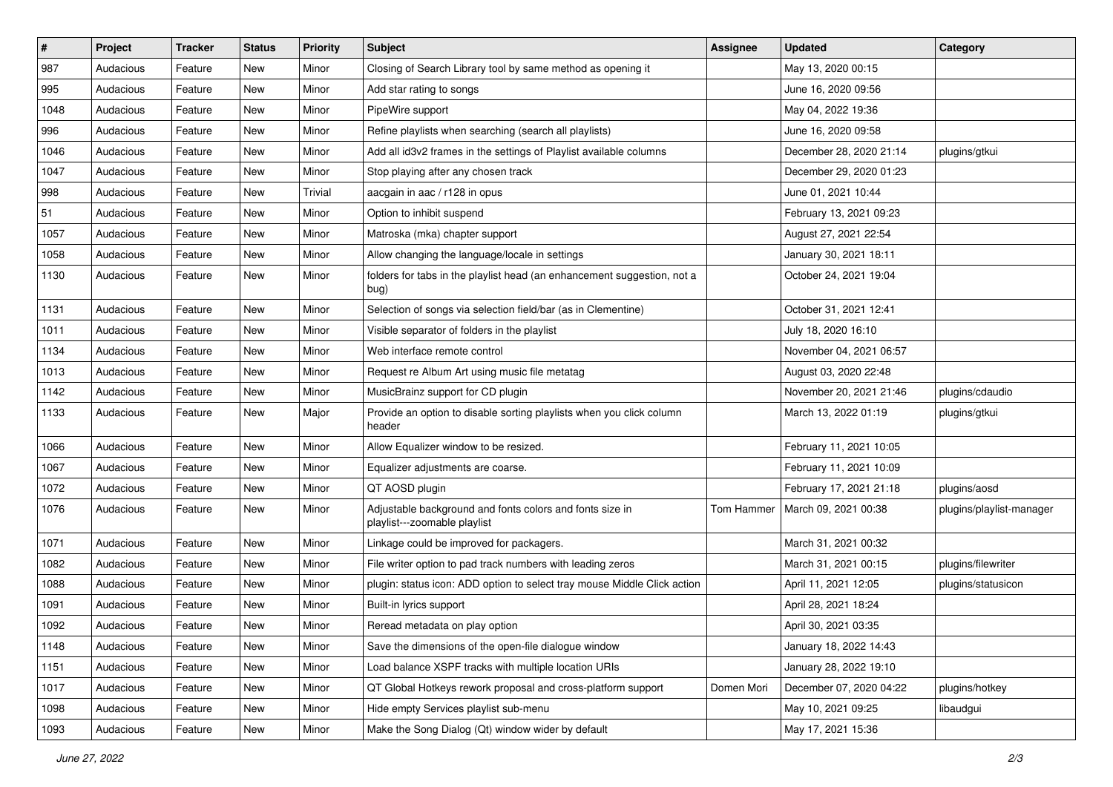| $\#$ | Project   | <b>Tracker</b> | <b>Status</b> | <b>Priority</b> | <b>Subject</b>                                                                           | <b>Assignee</b> | <b>Updated</b>          | Category                 |
|------|-----------|----------------|---------------|-----------------|------------------------------------------------------------------------------------------|-----------------|-------------------------|--------------------------|
| 987  | Audacious | Feature        | New           | Minor           | Closing of Search Library tool by same method as opening it                              |                 | May 13, 2020 00:15      |                          |
| 995  | Audacious | Feature        | New           | Minor           | Add star rating to songs                                                                 |                 | June 16, 2020 09:56     |                          |
| 1048 | Audacious | Feature        | New           | Minor           | PipeWire support                                                                         |                 | May 04, 2022 19:36      |                          |
| 996  | Audacious | Feature        | New           | Minor           | Refine playlists when searching (search all playlists)                                   |                 | June 16, 2020 09:58     |                          |
| 1046 | Audacious | Feature        | New           | Minor           | Add all id3v2 frames in the settings of Playlist available columns                       |                 | December 28, 2020 21:14 | plugins/gtkui            |
| 1047 | Audacious | Feature        | New           | Minor           | Stop playing after any chosen track                                                      |                 | December 29, 2020 01:23 |                          |
| 998  | Audacious | Feature        | New           | Trivial         | aacgain in aac / r128 in opus                                                            |                 | June 01, 2021 10:44     |                          |
| 51   | Audacious | Feature        | New           | Minor           | Option to inhibit suspend                                                                |                 | February 13, 2021 09:23 |                          |
| 1057 | Audacious | Feature        | New           | Minor           | Matroska (mka) chapter support                                                           |                 | August 27, 2021 22:54   |                          |
| 1058 | Audacious | Feature        | New           | Minor           | Allow changing the language/locale in settings                                           |                 | January 30, 2021 18:11  |                          |
| 1130 | Audacious | Feature        | New           | Minor           | folders for tabs in the playlist head (an enhancement suggestion, not a<br>bug)          |                 | October 24, 2021 19:04  |                          |
| 1131 | Audacious | Feature        | New           | Minor           | Selection of songs via selection field/bar (as in Clementine)                            |                 | October 31, 2021 12:41  |                          |
| 1011 | Audacious | Feature        | New           | Minor           | Visible separator of folders in the playlist                                             |                 | July 18, 2020 16:10     |                          |
| 1134 | Audacious | Feature        | New           | Minor           | Web interface remote control                                                             |                 | November 04, 2021 06:57 |                          |
| 1013 | Audacious | Feature        | New           | Minor           | Request re Album Art using music file metatag                                            |                 | August 03, 2020 22:48   |                          |
| 1142 | Audacious | Feature        | New           | Minor           | MusicBrainz support for CD plugin                                                        |                 | November 20, 2021 21:46 | plugins/cdaudio          |
| 1133 | Audacious | Feature        | New           | Major           | Provide an option to disable sorting playlists when you click column<br>header           |                 | March 13, 2022 01:19    | plugins/gtkui            |
| 1066 | Audacious | Feature        | New           | Minor           | Allow Equalizer window to be resized.                                                    |                 | February 11, 2021 10:05 |                          |
| 1067 | Audacious | Feature        | New           | Minor           | Equalizer adjustments are coarse.                                                        |                 | February 11, 2021 10:09 |                          |
| 1072 | Audacious | Feature        | New           | Minor           | QT AOSD plugin                                                                           |                 | February 17, 2021 21:18 | plugins/aosd             |
| 1076 | Audacious | Feature        | New           | Minor           | Adjustable background and fonts colors and fonts size in<br>playlist---zoomable playlist | Tom Hammer      | March 09, 2021 00:38    | plugins/playlist-manager |
| 1071 | Audacious | Feature        | New           | Minor           | Linkage could be improved for packagers.                                                 |                 | March 31, 2021 00:32    |                          |
| 1082 | Audacious | Feature        | New           | Minor           | File writer option to pad track numbers with leading zeros                               |                 | March 31, 2021 00:15    | plugins/filewriter       |
| 1088 | Audacious | Feature        | New           | Minor           | plugin: status icon: ADD option to select tray mouse Middle Click action                 |                 | April 11, 2021 12:05    | plugins/statusicon       |
| 1091 | Audacious | Feature        | New           | Minor           | Built-in lyrics support                                                                  |                 | April 28, 2021 18:24    |                          |
| 1092 | Audacious | Feature        | New           | Minor           | Reread metadata on play option                                                           |                 | April 30, 2021 03:35    |                          |
| 1148 | Audacious | Feature        | New           | Minor           | Save the dimensions of the open-file dialogue window                                     |                 | January 18, 2022 14:43  |                          |
| 1151 | Audacious | Feature        | New           | Minor           | Load balance XSPF tracks with multiple location URIs                                     |                 | January 28, 2022 19:10  |                          |
| 1017 | Audacious | Feature        | New           | Minor           | QT Global Hotkeys rework proposal and cross-platform support                             | Domen Mori      | December 07, 2020 04:22 | plugins/hotkey           |
| 1098 | Audacious | Feature        | New           | Minor           | Hide empty Services playlist sub-menu                                                    |                 | May 10, 2021 09:25      | libaudgui                |
| 1093 | Audacious | Feature        | New           | Minor           | Make the Song Dialog (Qt) window wider by default                                        |                 | May 17, 2021 15:36      |                          |